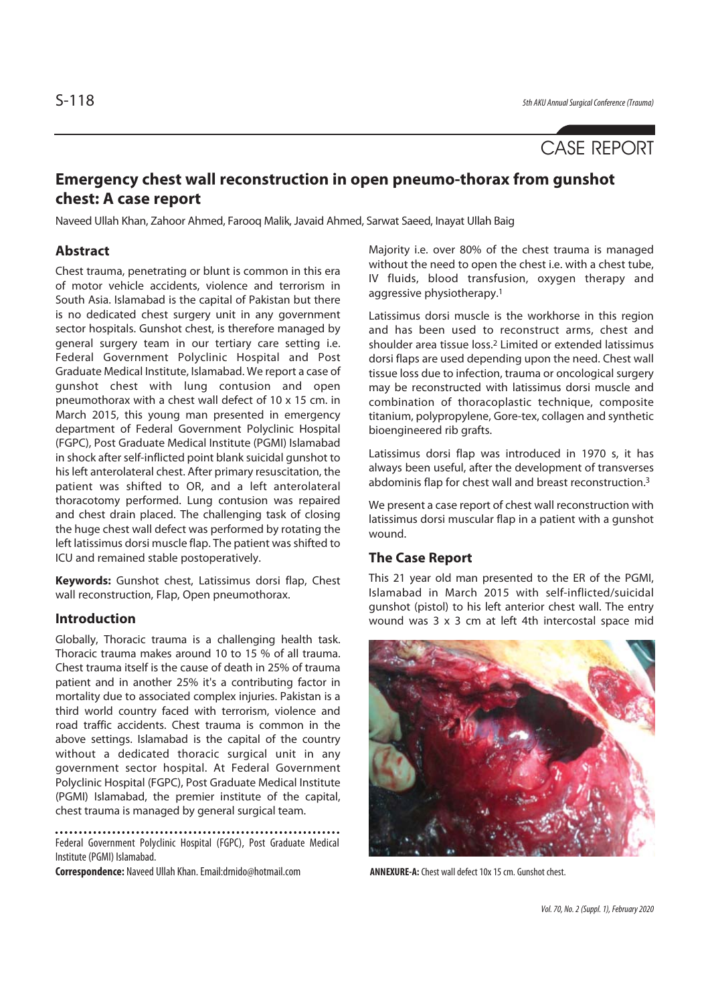# CASE REPORT

## **Emergency chest wall reconstruction in open pneumo-thorax from gunshot chest: A case report**

Naveed Ullah Khan, Zahoor Ahmed, Farooq Malik, Javaid Ahmed, Sarwat Saeed, Inayat Ullah Baig

### **Abstract**

Chest trauma, penetrating or blunt is common in this era of motor vehicle accidents, violence and terrorism in South Asia. Islamabad is the capital of Pakistan but there is no dedicated chest surgery unit in any government sector hospitals. Gunshot chest, is therefore managed by general surgery team in our tertiary care setting i.e. Federal Government Polyclinic Hospital and Post Graduate Medical Institute, Islamabad. We report a case of gunshot chest with lung contusion and open pneumothorax with a chest wall defect of 10 x 15 cm. in March 2015, this young man presented in emergency department of Federal Government Polyclinic Hospital (FGPC), Post Graduate Medical Institute (PGMI) Islamabad in shock after self-inflicted point blank suicidal gunshot to his left anterolateral chest. After primary resuscitation, the patient was shifted to OR, and a left anterolateral thoracotomy performed. Lung contusion was repaired and chest drain placed. The challenging task of closing the huge chest wall defect was performed by rotating the left latissimus dorsi muscle flap. The patient was shifted to ICU and remained stable postoperatively.

**Keywords:** Gunshot chest, Latissimus dorsi flap, Chest wall reconstruction, Flap, Open pneumothorax.

### **Introduction**

Globally, Thoracic trauma is a challenging health task. Thoracic trauma makes around 10 to 15 % of all trauma. Chest trauma itself is the cause of death in 25% of trauma patient and in another 25% it's a contributing factor in mortality due to associated complex injuries. Pakistan is a third world country faced with terrorism, violence and road traffic accidents. Chest trauma is common in the above settings. Islamabad is the capital of the country without a dedicated thoracic surgical unit in any government sector hospital. At Federal Government Polyclinic Hospital (FGPC), Post Graduate Medical Institute (PGMI) Islamabad, the premier institute of the capital, chest trauma is managed by general surgical team.

Federal Government Polyclinic Hospital (FGPC), Post Graduate Medical Institute (PGMI) Islamabad.

Correspondence: Naveed Ullah Khan. Email:drnido@hotmail.com **ANNEXURE-A:** Chest wall defect 10x 15 cm. Gunshot chest.

Majority i.e. over 80% of the chest trauma is managed without the need to open the chest i.e. with a chest tube, IV fluids, blood transfusion, oxygen therapy and aggressive physiotherapy.1

Latissimus dorsi muscle is the workhorse in this region and has been used to reconstruct arms, chest and shoulder area tissue loss.2 Limited or extended latissimus dorsi flaps are used depending upon the need. Chest wall tissue loss due to infection, trauma or oncological surgery may be reconstructed with latissimus dorsi muscle and combination of thoracoplastic technique, composite titanium, polypropylene, Gore-tex, collagen and synthetic bioengineered rib grafts.

Latissimus dorsi flap was introduced in 1970 s, it has always been useful, after the development of transverses abdominis flap for chest wall and breast reconstruction.3

We present a case report of chest wall reconstruction with latissimus dorsi muscular flap in a patient with a gunshot wound.

### **The Case Report**

This 21 year old man presented to the ER of the PGMI, Islamabad in March 2015 with self-inflicted/suicidal gunshot (pistol) to his left anterior chest wall. The entry wound was 3 x 3 cm at left 4th intercostal space mid

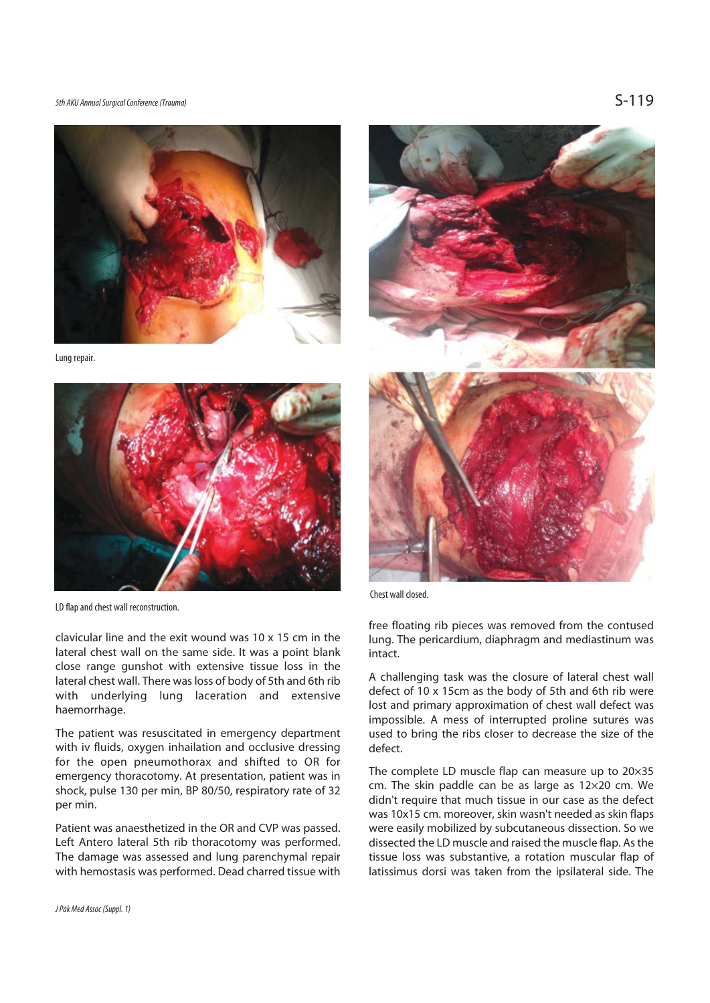5th AKU Annual Surgical Conference (Trauma)  $S-119$ 



Lung repair.



LD flap and chest wall reconstruction.

clavicular line and the exit wound was 10 x 15 cm in the lateral chest wall on the same side. It was a point blank close range gunshot with extensive tissue loss in the lateral chest wall. There was loss of body of 5th and 6th rib with underlying lung laceration and extensive haemorrhage.

The patient was resuscitated in emergency department with iv fluids, oxygen inhailation and occlusive dressing for the open pneumothorax and shifted to OR for emergency thoracotomy. At presentation, patient was in shock, pulse 130 per min, BP 80/50, respiratory rate of 32 per min.

Patient was anaesthetized in the OR and CVP was passed. Left Antero lateral 5th rib thoracotomy was performed. The damage was assessed and lung parenchymal repair with hemostasis was performed. Dead charred tissue with Chest wall closed.

free floating rib pieces was removed from the contused lung. The pericardium, diaphragm and mediastinum was intact.

A challenging task was the closure of lateral chest wall defect of 10 x 15cm as the body of 5th and 6th rib were lost and primary approximation of chest wall defect was impossible. A mess of interrupted proline sutures was used to bring the ribs closer to decrease the size of the defect.

The complete LD muscle flap can measure up to 20×35 cm. The skin paddle can be as large as 12×20 cm. We didn't require that much tissue in our case as the defect was 10x15 cm. moreover, skin wasn't needed as skin flaps were easily mobilized by subcutaneous dissection. So we dissected the LD muscle and raised the muscle flap. As the tissue loss was substantive, a rotation muscular flap of latissimus dorsi was taken from the ipsilateral side. The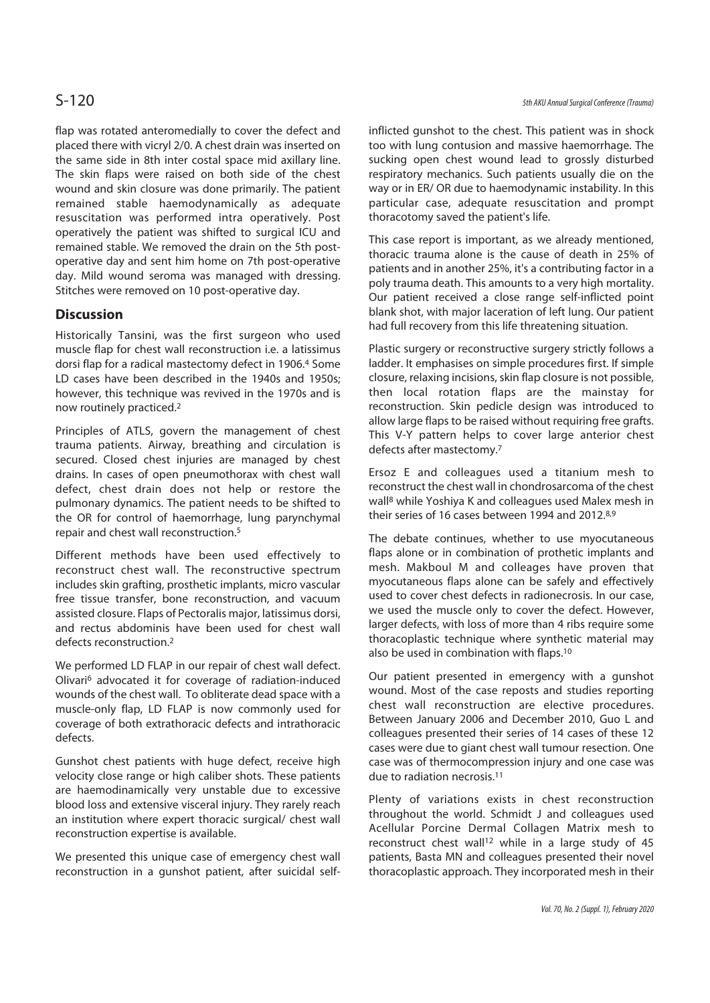flap was rotated anteromedially to cover the defect and placed there with vicryl 2/0. A chest drain was inserted on the same side in 8th inter costal space mid axillary line. The skin flaps were raised on both side of the chest wound and skin closure was done primarily. The patient remained stable haemodynamically as adequate resuscitation was performed intra operatively. Post operatively the patient was shifted to surgical ICU and remained stable. We removed the drain on the 5th postoperative day and sent him home on 7th post-operative day. Mild wound seroma was managed with dressing. Stitches were removed on 10 post-operative day.

### **Discussion**

Historically Tansini, was the first surgeon who used muscle flap for chest wall reconstruction i.e. a latissimus dorsi flap for a radical mastectomy defect in 1906.4 Some LD cases have been described in the 1940s and 1950s; however, this technique was revived in the 1970s and is now routinely practiced.2

Principles of ATLS, govern the management of chest trauma patients. Airway, breathing and circulation is secured. Closed chest injuries are managed by chest drains. In cases of open pneumothorax with chest wall defect, chest drain does not help or restore the pulmonary dynamics. The patient needs to be shifted to the OR for control of haemorrhage, lung parynchymal repair and chest wall reconstruction.5

Different methods have been used effectively to reconstruct chest wall. The reconstructive spectrum includes skin grafting, prosthetic implants, micro vascular free tissue transfer, bone reconstruction, and vacuum assisted closure. Flaps of Pectoralis major, latissimus dorsi, and rectus abdominis have been used for chest wall defects reconstruction.2

We performed LD FLAP in our repair of chest wall defect. Olivari6 advocated it for coverage of radiation-induced wounds of the chest wall. To obliterate dead space with a muscle-only flap, LD FLAP is now commonly used for coverage of both extrathoracic defects and intrathoracic defects.

Gunshot chest patients with huge defect, receive high velocity close range or high caliber shots. These patients are haemodinamically very unstable due to excessive blood loss and extensive visceral injury. They rarely reach an institution where expert thoracic surgical/ chest wall reconstruction expertise is available.

We presented this unique case of emergency chest wall reconstruction in a gunshot patient, after suicidal selfinflicted gunshot to the chest. This patient was in shock too with lung contusion and massive haemorrhage. The sucking open chest wound lead to grossly disturbed respiratory mechanics. Such patients usually die on the way or in ER/ OR due to haemodynamic instability. In this particular case, adequate resuscitation and prompt thoracotomy saved the patient's life.

This case report is important, as we already mentioned, thoracic trauma alone is the cause of death in 25% of patients and in another 25%, it's a contributing factor in a poly trauma death. This amounts to a very high mortality. Our patient received a close range self-inflicted point blank shot, with major laceration of left lung. Our patient had full recovery from this life threatening situation.

Plastic surgery or reconstructive surgery strictly follows a ladder. It emphasises on simple procedures first. If simple closure, relaxing incisions, skin flap closure is not possible, then local rotation flaps are the mainstay for reconstruction. Skin pedicle design was introduced to allow large flaps to be raised without requiring free grafts. This V-Y pattern helps to cover large anterior chest defects after mastectomy.7

Ersoz E and colleagues used a titanium mesh to reconstruct the chest wall in chondrosarcoma of the chest wall8 while Yoshiya K and colleagues used Malex mesh in their series of 16 cases between 1994 and 2012.8,9

The debate continues, whether to use myocutaneous flaps alone or in combination of prothetic implants and mesh. Makboul M and colleages have proven that myocutaneous flaps alone can be safely and effectively used to cover chest defects in radionecrosis. In our case, we used the muscle only to cover the defect. However, larger defects, with loss of more than 4 ribs require some thoracoplastic technique where synthetic material may also be used in combination with flaps.10

Our patient presented in emergency with a gunshot wound. Most of the case reposts and studies reporting chest wall reconstruction are elective procedures. Between January 2006 and December 2010, Guo L and colleagues presented their series of 14 cases of these 12 cases were due to giant chest wall tumour resection. One case was of thermocompression injury and one case was due to radiation necrosis.11

Plenty of variations exists in chest reconstruction throughout the world. Schmidt J and colleagues used Acellular Porcine Dermal Collagen Matrix mesh to reconstruct chest wall<sup>12</sup> while in a large study of 45 patients, Basta MN and colleagues presented their novel thoracoplastic approach. They incorporated mesh in their